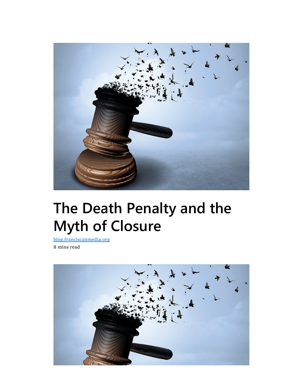

# The Death Penalty and the Myth of Closure

blog.franciscanmedia.org 8 mins read

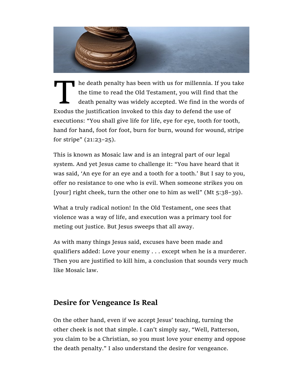

The death penalty has been with us for millennia. If you the time to read the Old Testament, you will find that the death penalty was widely accepted. We find in the word Exodus the justification invoked to this day to def he death penalty has been with us for millennia. If you take the time to read the Old Testament, you will find that the death penalty was widely accepted. We find in the words of executions: "You shall give life for life, eye for eye, tooth for tooth, hand for hand, foot for foot, burn for burn, wound for wound, stripe for stripe" (21:23–25).

This is known as Mosaic law and is an integral part of our legal system. And yet Jesus came to challenge it: "You have heard that it was said, 'An eye for an eye and a tooth for a tooth.' But I say to you, offer no resistance to one who is evil. When someone strikes you on [your] right cheek, turn the other one to him as well" (Mt 5:38–39).

What a truly radical notion! In the Old Testament, one sees that violence was a way of life, and execution was a primary tool for meting out justice. But Jesus sweeps that all away.

As with many things Jesus said, excuses have been made and qualifiers added: Love your enemy . . . except when he is a murderer. Then you are justified to kill him, a conclusion that sounds very much like Mosaic law.

## Desire for Vengeance Is Real

On the other hand, even if we accept Jesus' teaching, turning the other cheek is not that simple. I can't simply say, "Well, Patterson, you claim to be a Christian, so you must love your enemy and oppose the death penalty." I also understand the desire for vengeance.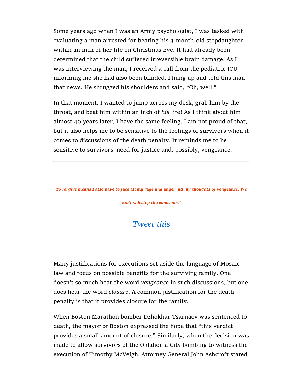Some years ago when I was an Army psychologist, I was tasked with evaluating a man arrested for beating his 3-month-old stepdaughter within an inch of her life on Christmas Eve. It had already been determined that the child suffered irreversible brain damage. As I was interviewing the man, I received a call from the pediatric ICU informing me she had also been blinded. I hung up and told this man that news. He shrugged his shoulders and said, "Oh, well."

In that moment, I wanted to jump across my desk, grab him by the throat, and beat him within an inch of his life! As I think about him almost 40 years later, I have the same feeling. I am not proud of that, but it also helps me to be sensitive to the feelings of survivors when it comes to discussions of the death penalty. It reminds me to be sensitive to survivors' need for justice and, possibly, vengeance.

To forgive means I also have to face all my rage and anger, all my thoughts of vengeance. We

can't sidestep the emotions."

#### Tweet this

Many justifications for executions set aside the language of Mosaic law and focus on possible benefits for the surviving family. One doesn't so much hear the word vengeance in such discussions, but one does hear the word closure. A common justification for the death penalty is that it provides closure for the family.

When Boston Marathon bomber Dzhokhar Tsarnaev was sentenced to death, the mayor of Boston expressed the hope that "this verdict provides a small amount of closure." Similarly, when the decision was made to allow survivors of the Oklahoma City bombing to witness the execution of Timothy McVeigh, Attorney General John Ashcroft stated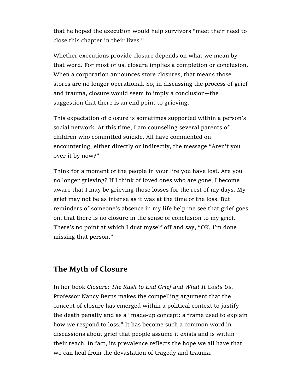that he hoped the execution would help survivors "meet their need to close this chapter in their lives."

Whether executions provide closure depends on what we mean by that word. For most of us, closure implies a completion or conclusion. When a corporation announces store closures, that means those stores are no longer operational. So, in discussing the process of grief and trauma, closure would seem to imply a conclusion—the suggestion that there is an end point to grieving.

This expectation of closure is sometimes supported within a person's social network. At this time, I am counseling several parents of children who committed suicide. All have commented on encountering, either directly or indirectly, the message "Aren't you over it by now?"

Think for a moment of the people in your life you have lost. Are you no longer grieving? If I think of loved ones who are gone, I become aware that I may be grieving those losses for the rest of my days. My grief may not be as intense as it was at the time of the loss. But reminders of someone's absence in my life help me see that grief goes on, that there is no closure in the sense of conclusion to my grief. There's no point at which I dust myself off and say, "OK, I'm done missing that person."

#### The Myth of Closure

In her book Closure: The Rush to End Grief and What It Costs Us, Professor Nancy Berns makes the compelling argument that the concept of closure has emerged within a political context to justify the death penalty and as a "made-up concept: a frame used to explain how we respond to loss." It has become such a common word in discussions about grief that people assume it exists and is within their reach. In fact, its prevalence reflects the hope we all have that we can heal from the devastation of tragedy and trauma.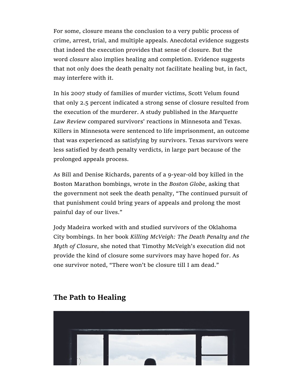For some, closure means the conclusion to a very public process of crime, arrest, trial, and multiple appeals. Anecdotal evidence suggests that indeed the execution provides that sense of closure. But the word closure also implies healing and completion. Evidence suggests that not only does the death penalty not facilitate healing but, in fact, may interfere with it.

In his 2007 study of families of murder victims, Scott Velum found that only 2.5 percent indicated a strong sense of closure resulted from the execution of the murderer. A study published in the Marquette Law Review compared survivors' reactions in Minnesota and Texas. Killers in Minnesota were sentenced to life imprisonment, an outcome that was experienced as satisfying by survivors. Texas survivors were less satisfied by death penalty verdicts, in large part because of the prolonged appeals process.

As Bill and Denise Richards, parents of a 9-year-old boy killed in the Boston Marathon bombings, wrote in the Boston Globe, asking that the government not seek the death penalty, "The continued pursuit of that punishment could bring years of appeals and prolong the most painful day of our lives."

Jody Madeira worked with and studied survivors of the Oklahoma City bombings. In her book Killing McVeigh: The Death Penalty and the Myth of Closure, she noted that Timothy McVeigh's execution did not provide the kind of closure some survivors may have hoped for. As one survivor noted, "There won't be closure till I am dead."



# The Path to Healing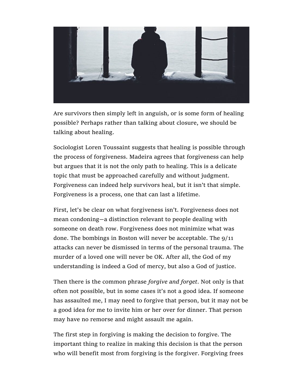

Are survivors then simply left in anguish, or is some form of healing possible? Perhaps rather than talking about closure, we should be talking about healing.

Sociologist Loren Toussaint suggests that healing is possible through the process of forgiveness. Madeira agrees that forgiveness can help but argues that it is not the only path to healing. This is a delicate topic that must be approached carefully and without judgment. Forgiveness can indeed help survivors heal, but it isn't that simple. Forgiveness is a process, one that can last a lifetime.

First, let's be clear on what forgiveness isn't. Forgiveness does not mean condoning—a distinction relevant to people dealing with someone on death row. Forgiveness does not minimize what was done. The bombings in Boston will never be acceptable. The 9/11 attacks can never be dismissed in terms of the personal trauma. The murder of a loved one will never be OK. After all, the God of my understanding is indeed a God of mercy, but also a God of justice.

Then there is the common phrase forgive and forget. Not only is that often not possible, but in some cases it's not a good idea. If someone has assaulted me, I may need to forgive that person, but it may not be a good idea for me to invite him or her over for dinner. That person may have no remorse and might assault me again.

The first step in forgiving is making the decision to forgive. The important thing to realize in making this decision is that the person who will benefit most from forgiving is the forgiver. Forgiving frees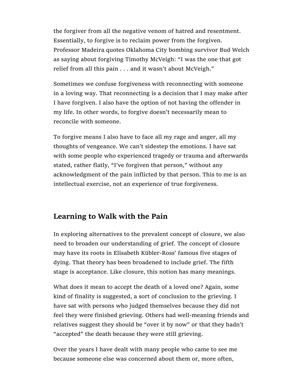the forgiver from all the negative venom of hatred and resentment. Essentially, to forgive is to reclaim power from the forgiven. Professor Madeira quotes Oklahoma City bombing survivor Bud Welch as saying about forgiving Timothy McVeigh: "I was the one that got relief from all this pain . . . and it wasn't about McVeigh."

Sometimes we confuse forgiveness with reconnecting with someone in a loving way. That reconnecting is a decision that I may make after I have forgiven. I also have the option of not having the offender in my life. In other words, to forgive doesn't necessarily mean to reconcile with someone.

To forgive means I also have to face all my rage and anger, all my thoughts of vengeance. We can't sidestep the emotions. I have sat with some people who experienced tragedy or trauma and afterwards stated, rather flatly, "I've forgiven that person," without any acknowledgment of the pain inflicted by that person. This to me is an intellectual exercise, not an experience of true forgiveness.

## Learning to Walk with the Pain

In exploring alternatives to the prevalent concept of closure, we also need to broaden our understanding of grief. The concept of closure may have its roots in Elisabeth Kübler-Ross' famous five stages of dying. That theory has been broadened to include grief. The fifth stage is acceptance. Like closure, this notion has many meanings.

What does it mean to accept the death of a loved one? Again, some kind of finality is suggested, a sort of conclusion to the grieving. I have sat with persons who judged themselves because they did not feel they were finished grieving. Others had well-meaning friends and relatives suggest they should be "over it by now" or that they hadn't "accepted" the death because they were still grieving.

Over the years I have dealt with many people who came to see me because someone else was concerned about them or, more often,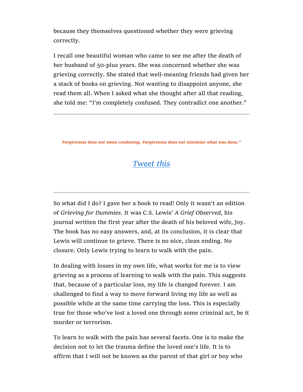because they themselves questioned whether they were grieving correctly.

I recall one beautiful woman who came to see me after the death of her husband of 50-plus years. She was concerned whether she was grieving correctly. She stated that well-meaning friends had given her a stack of books on grieving. Not wanting to disappoint anyone, she read them all. When I asked what she thought after all that reading, she told me: "I'm completely confused. They contradict one another."

Forgiveness does not mean condoning. Forgiveness does not minimize what was done."

# Tweet this

So what did I do? I gave her a book to read! Only it wasn't an edition of Grieving for Dummies. It was C.S. Lewis' A Grief Observed, his journal written the first year after the death of his beloved wife, Joy. The book has no easy answers, and, at its conclusion, it is clear that Lewis will continue to grieve. There is no nice, clean ending. No closure. Only Lewis trying to learn to walk with the pain.

In dealing with losses in my own life, what works for me is to view grieving as a process of learning to walk with the pain. This suggests that, because of a particular loss, my life is changed forever. I am challenged to find a way to move forward living my life as well as possible while at the same time carrying the loss. This is especially true for those who've lost a loved one through some criminal act, be it murder or terrorism.

To learn to walk with the pain has several facets. One is to make the decision not to let the trauma define the loved one's life. It is to affirm that I will not be known as the parent of that girl or boy who